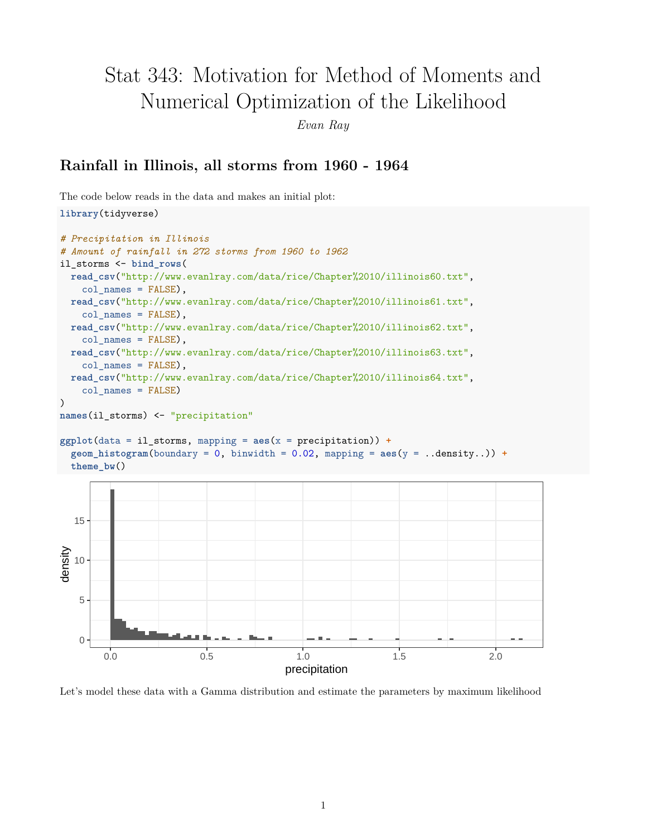# Stat 343: Motivation for Method of Moments and Numerical Optimization of the Likelihood

*Evan Ray*

## **Rainfall in Illinois, all storms from 1960 - 1964**

The code below reads in the data and makes an initial plot:

0

5

10

```
library(tidyverse)
# Precipitation in Illinois
# Amount of rainfall in 272 storms from 1960 to 1962
il_storms <- bind_rows(
  read_csv("http://www.evanlray.com/data/rice/Chapter%2010/illinois60.txt",
    col_names = FALSE),
  read_csv("http://www.evanlray.com/data/rice/Chapter%2010/illinois61.txt",
    col\_names = FALSE,
 read_csv("http://www.evanlray.com/data/rice/Chapter%2010/illinois62.txt",
    col names = FALSE),
 read_csv("http://www.evanlray.com/data/rice/Chapter%2010/illinois63.txt",
    col\_names = FALSE,
  read_csv("http://www.evanlray.com/data/rice/Chapter%2010/illinois64.txt",
    col_names = FALSE)
)
names(il_storms) <- "precipitation"
ggplot(data = il_storms, mapping = aes(x = precipitation)) +
  \phi geom_histogram(boundary = 0, binwidth = 0.02, mapping = \text{aes}(y = .\text{density.})) +
  theme_bw()
  15
density
```


0.0 0.5 1.0 1.5 2.0 precipitation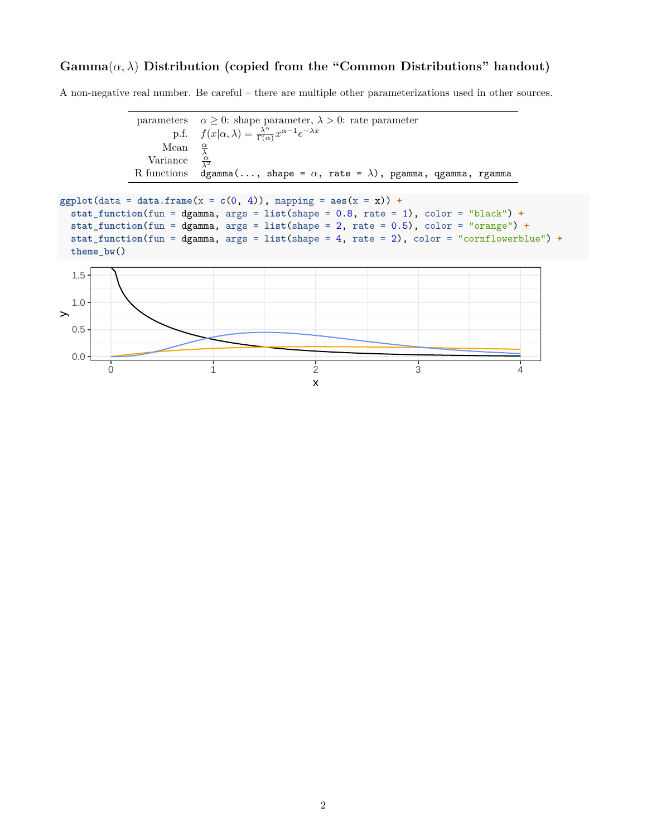### $Gamma(\alpha, \lambda)$  Distribution (copied from the "Common Distributions" handout)

A non-negative real number. Be careful – there are multiple other parameterizations used in other sources.

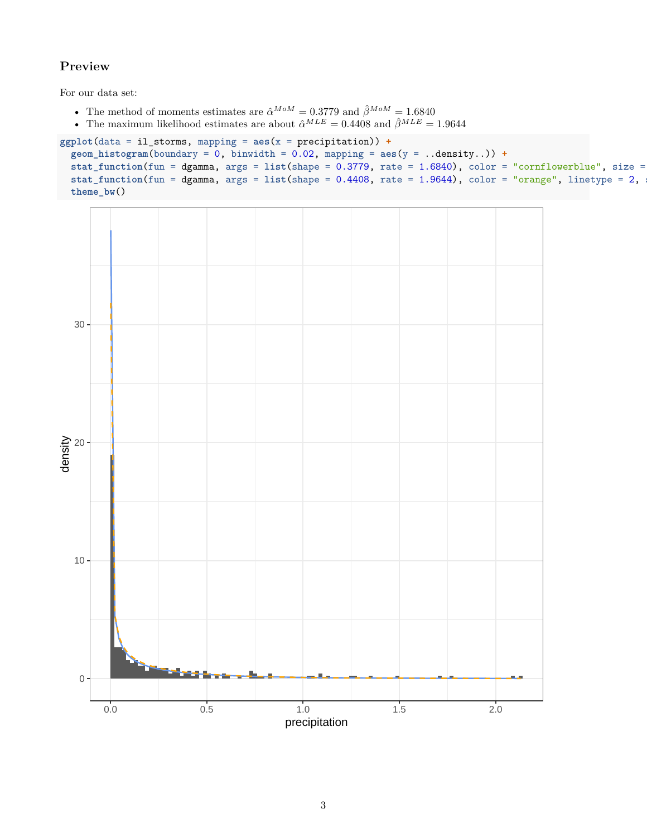#### **Preview**

For our data set:

- The method of moments estimates are  $\hat{\alpha}^{MoM} = 0.3779$  and  $\hat{\beta}^{MoM} = 1.6840$
- The maximum likelihood estimates are about  $\hat{\alpha}^{MLE} = 0.4408$  and  $\hat{\beta}^{MLE} = 1.9644$

```
ggplot(data = il_storms, mapping = aes(x = precipitation)) +
  geom\_histogram(boundary = 0, binwidth = 0.02, mapping = <math>aes(y = ..density..)) +\text{stat_function}(\text{fun} = \text{dgamma}, \text{args} = \text{list}(\text{shape} = 0.3779, \text{rate} = 1.6840), \text{color} = \text{"conflowerblue", \text{size} = \text{if}(\text{start} = 0.6640)stat_function(fun = dgamma, args = list(shape = 0.4408, rate = 1.9644), color = "orange", linetype = 2,theme_bw()
```